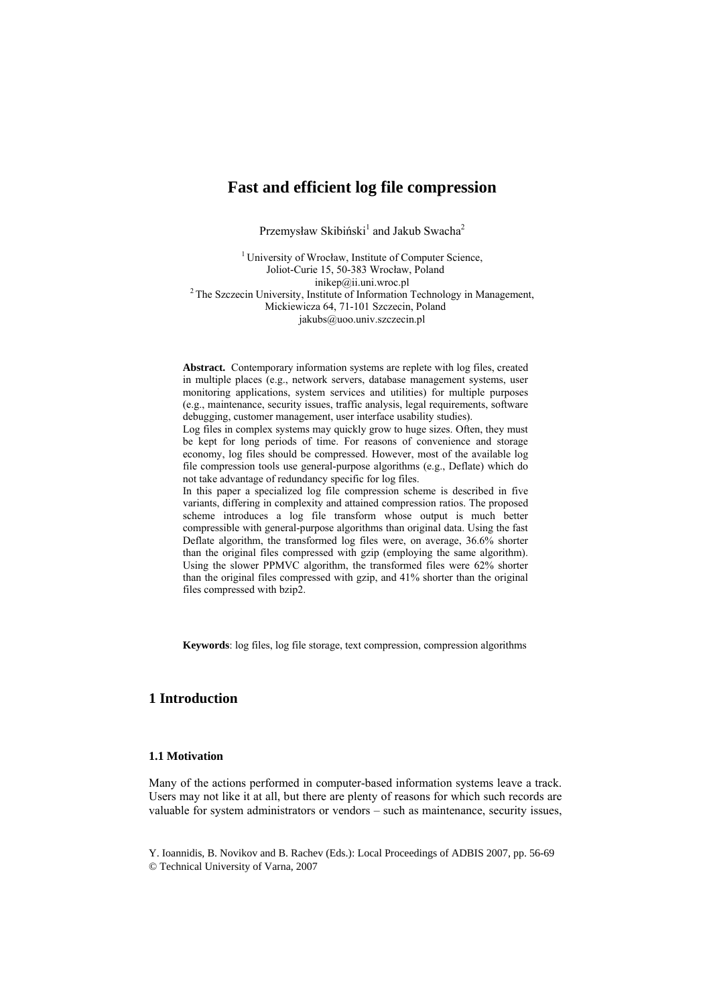# **Fast and efficient log file compression**

Przemysław Skibiński<sup>1</sup> and Jakub Swacha<sup>2</sup>

<sup>1</sup> University of Wrocław, Institute of Computer Science, Joliot-Curie 15, 50-383 Wrocław, Poland<br>inikep@ii.uni.wroc.pl  ${}^{2}$ The Szczecin University, Institute of Information Technology in Management, Mickiewicza 64, 71-101 Szczecin, Poland jakubs@uoo.univ.szczecin.pl

**Abstract.** Contemporary information systems are replete with log files, created in multiple places (e.g., network servers, database management systems, user monitoring applications, system services and utilities) for multiple purposes (e.g., maintenance, security issues, traffic analysis, legal requirements, software debugging, customer management, user interface usability studies).

Log files in complex systems may quickly grow to huge sizes. Often, they must be kept for long periods of time. For reasons of convenience and storage economy, log files should be compressed. However, most of the available log file compression tools use general-purpose algorithms (e.g., Deflate) which do not take advantage of redundancy specific for log files.

In this paper a specialized log file compression scheme is described in five variants, differing in complexity and attained compression ratios. The proposed scheme introduces a log file transform whose output is much better compressible with general-purpose algorithms than original data. Using the fast Deflate algorithm, the transformed log files were, on average, 36.6% shorter than the original files compressed with gzip (employing the same algorithm). Using the slower PPMVC algorithm, the transformed files were 62% shorter than the original files compressed with gzip, and 41% shorter than the original files compressed with bzip2.

**Keywords**: log files, log file storage, text compression, compression algorithms

# **1 Introduction**

### **1.1 Motivation**

Many of the actions performed in computer-based information systems leave a track. Users may not like it at all, but there are plenty of reasons for which such records are valuable for system administrators or vendors – such as maintenance, security issues,

Y. Ioannidis, B. Novikov and B. Rachev (Eds.): Local Proceedings of ADBIS 2007, pp. 56-69 © Technical University of Varna, 2007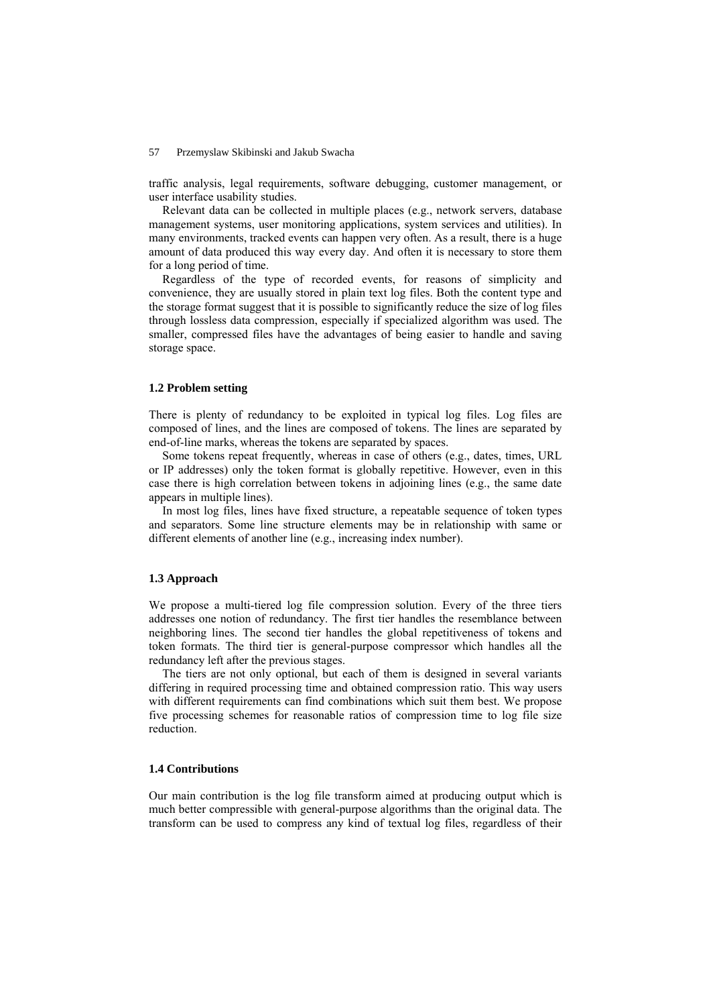traffic analysis, legal requirements, software debugging, customer management, or user interface usability studies.

Relevant data can be collected in multiple places (e.g., network servers, database management systems, user monitoring applications, system services and utilities). In many environments, tracked events can happen very often. As a result, there is a huge amount of data produced this way every day. And often it is necessary to store them for a long period of time.

Regardless of the type of recorded events, for reasons of simplicity and convenience, they are usually stored in plain text log files. Both the content type and the storage format suggest that it is possible to significantly reduce the size of log files through lossless data compression, especially if specialized algorithm was used. The smaller, compressed files have the advantages of being easier to handle and saving storage space.

## **1.2 Problem setting**

There is plenty of redundancy to be exploited in typical log files. Log files are composed of lines, and the lines are composed of tokens. The lines are separated by end-of-line marks, whereas the tokens are separated by spaces.

Some tokens repeat frequently, whereas in case of others (e.g., dates, times, URL or IP addresses) only the token format is globally repetitive. However, even in this case there is high correlation between tokens in adjoining lines (e.g., the same date appears in multiple lines).

In most log files, lines have fixed structure, a repeatable sequence of token types and separators. Some line structure elements may be in relationship with same or different elements of another line (e.g., increasing index number).

### **1.3 Approach**

We propose a multi-tiered log file compression solution. Every of the three tiers addresses one notion of redundancy. The first tier handles the resemblance between neighboring lines. The second tier handles the global repetitiveness of tokens and token formats. The third tier is general-purpose compressor which handles all the redundancy left after the previous stages.

The tiers are not only optional, but each of them is designed in several variants differing in required processing time and obtained compression ratio. This way users with different requirements can find combinations which suit them best. We propose five processing schemes for reasonable ratios of compression time to log file size reduction.

### **1.4 Contributions**

Our main contribution is the log file transform aimed at producing output which is much better compressible with general-purpose algorithms than the original data. The transform can be used to compress any kind of textual log files, regardless of their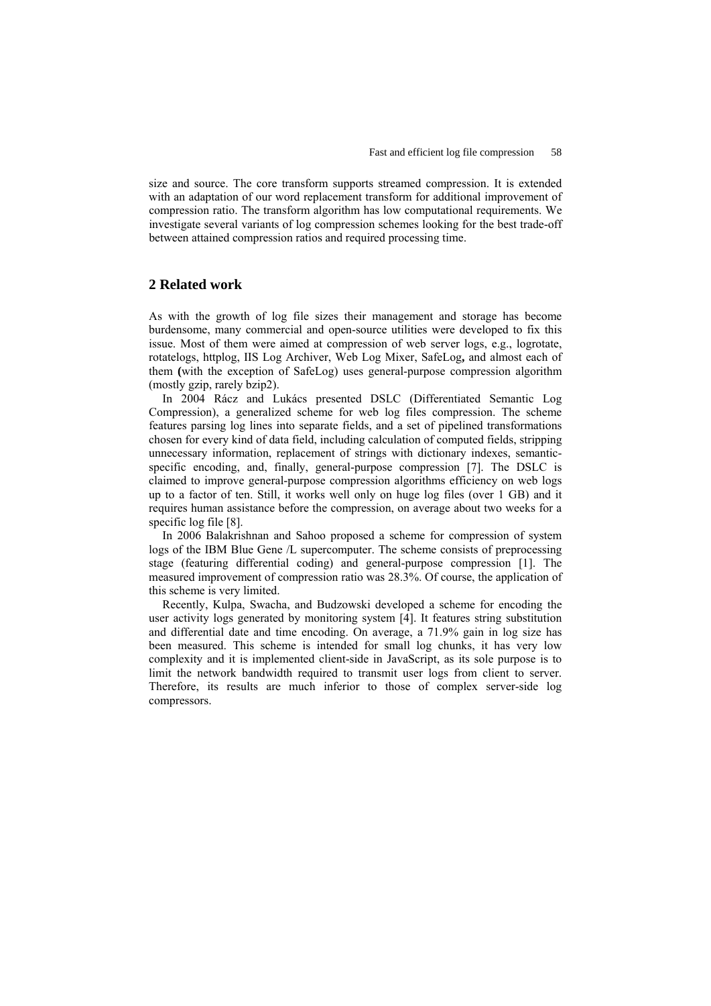size and source. The core transform supports streamed compression. It is extended with an adaptation of our word replacement transform for additional improvement of compression ratio. The transform algorithm has low computational requirements. We investigate several variants of log compression schemes looking for the best trade-off between attained compression ratios and required processing time.

# **2 Related work**

As with the growth of log file sizes their management and storage has become burdensome, many commercial and open-source utilities were developed to fix this issue. Most of them were aimed at compression of web server logs, e.g., logrotate, rotatelogs, httplog, IIS Log Archiver, Web Log Mixer, SafeLog**,** and almost each of them **(**with the exception of SafeLog) uses general-purpose compression algorithm (mostly gzip, rarely bzip2).

In 2004 Rácz and Lukács presented DSLC (Differentiated Semantic Log Compression), a generalized scheme for web log files compression. The scheme features parsing log lines into separate fields, and a set of pipelined transformations chosen for every kind of data field, including calculation of computed fields, stripping unnecessary information, replacement of strings with dictionary indexes, semanticspecific encoding, and, finally, general-purpose compression [7]. The DSLC is claimed to improve general-purpose compression algorithms efficiency on web logs up to a factor of ten. Still, it works well only on huge log files (over 1 GB) and it requires human assistance before the compression, on average about two weeks for a specific log file [8].

In 2006 Balakrishnan and Sahoo proposed a scheme for compression of system logs of the IBM Blue Gene /L supercomputer. The scheme consists of preprocessing stage (featuring differential coding) and general-purpose compression [1]. The measured improvement of compression ratio was 28.3%. Of course, the application of this scheme is very limited.

Recently, Kulpa, Swacha, and Budzowski developed a scheme for encoding the user activity logs generated by monitoring system [4]. It features string substitution and differential date and time encoding. On average, a 71.9% gain in log size has been measured. This scheme is intended for small log chunks, it has very low complexity and it is implemented client-side in JavaScript, as its sole purpose is to limit the network bandwidth required to transmit user logs from client to server. Therefore, its results are much inferior to those of complex server-side log compressors.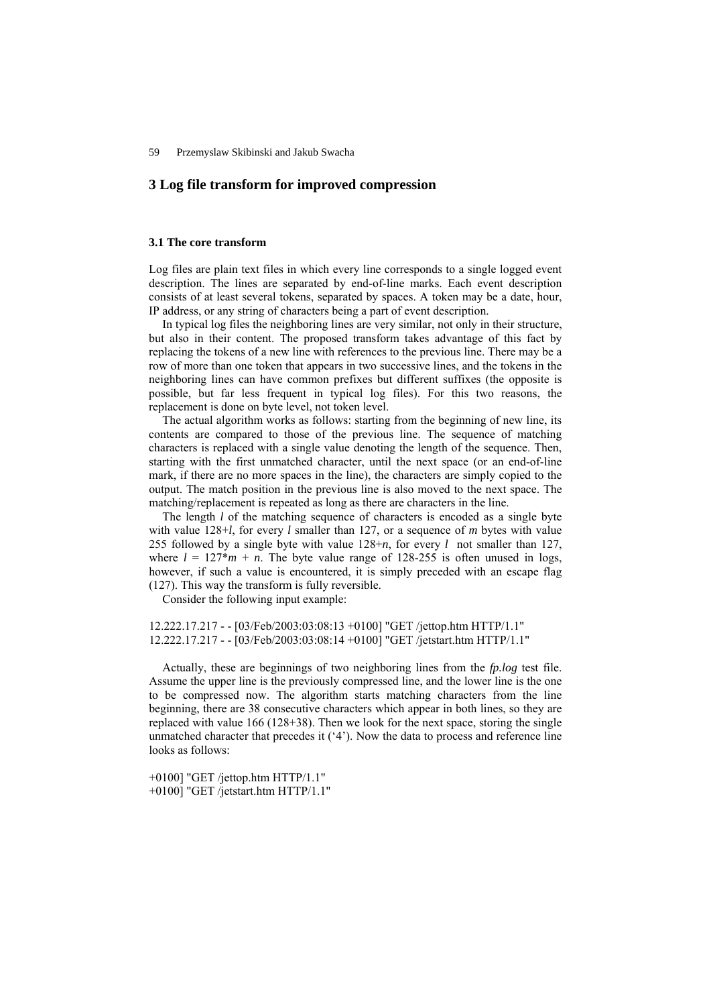# **3 Log file transform for improved compression**

## **3.1 The core transform**

Log files are plain text files in which every line corresponds to a single logged event description. The lines are separated by end-of-line marks. Each event description consists of at least several tokens, separated by spaces. A token may be a date, hour, IP address, or any string of characters being a part of event description.

In typical log files the neighboring lines are very similar, not only in their structure, but also in their content. The proposed transform takes advantage of this fact by replacing the tokens of a new line with references to the previous line. There may be a row of more than one token that appears in two successive lines, and the tokens in the neighboring lines can have common prefixes but different suffixes (the opposite is possible, but far less frequent in typical log files). For this two reasons, the replacement is done on byte level, not token level.

The actual algorithm works as follows: starting from the beginning of new line, its contents are compared to those of the previous line. The sequence of matching characters is replaced with a single value denoting the length of the sequence. Then, starting with the first unmatched character, until the next space (or an end-of-line mark, if there are no more spaces in the line), the characters are simply copied to the output. The match position in the previous line is also moved to the next space. The matching/replacement is repeated as long as there are characters in the line.

The length *l* of the matching sequence of characters is encoded as a single byte with value 128+*l*, for every *l* smaller than 127, or a sequence of *m* bytes with value 255 followed by a single byte with value 128+*n*, for every *l* not smaller than 127, where  $l = 127 * m + n$ . The byte value range of 128-255 is often unused in logs, however, if such a value is encountered, it is simply preceded with an escape flag (127). This way the transform is fully reversible.

Consider the following input example:

12.222.17.217 - - [03/Feb/2003:03:08:13 +0100] "GET /jettop.htm HTTP/1.1" 12.222.17.217 - - [03/Feb/2003:03:08:14 +0100] "GET /jetstart.htm HTTP/1.1"

Actually, these are beginnings of two neighboring lines from the *fp.log* test file. Assume the upper line is the previously compressed line, and the lower line is the one to be compressed now. The algorithm starts matching characters from the line beginning, there are 38 consecutive characters which appear in both lines, so they are replaced with value 166 (128+38). Then we look for the next space, storing the single unmatched character that precedes it  $(4)$ . Now the data to process and reference line looks as follows:

+0100] "GET /jettop.htm HTTP/1.1" +0100] "GET /jetstart.htm HTTP/1.1"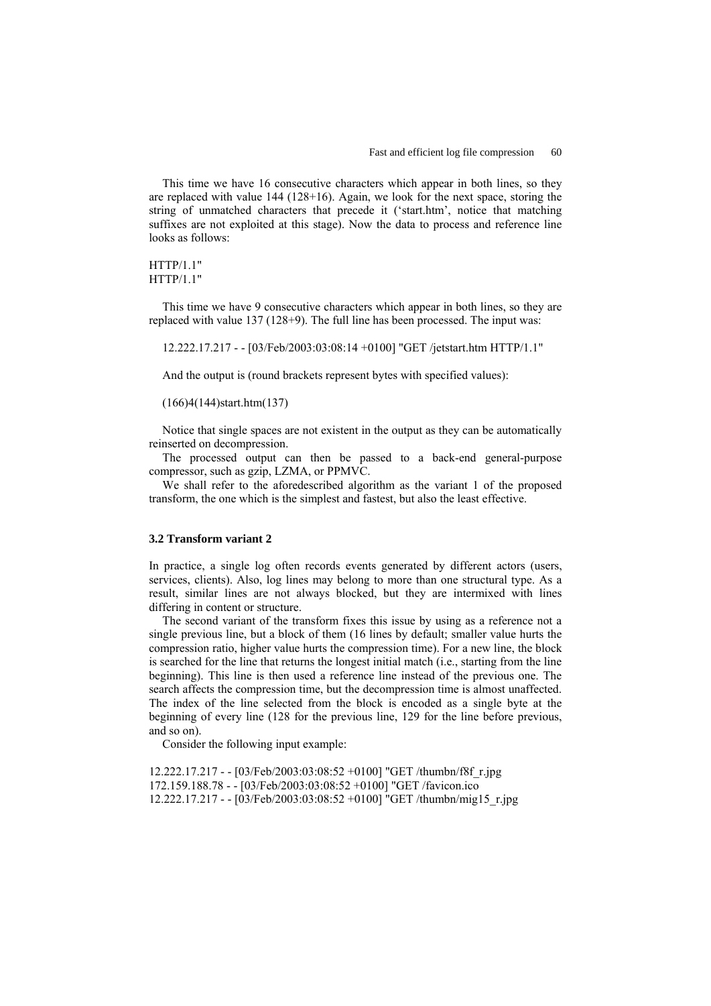This time we have 16 consecutive characters which appear in both lines, so they are replaced with value 144 (128+16). Again, we look for the next space, storing the string of unmatched characters that precede it ('start.htm', notice that matching suffixes are not exploited at this stage). Now the data to process and reference line looks as follows:

```
HTTP/1.1" 
HTTP/1.1"
```
This time we have 9 consecutive characters which appear in both lines, so they are replaced with value 137 (128+9). The full line has been processed. The input was:

12.222.17.217 - - [03/Feb/2003:03:08:14 +0100] "GET /jetstart.htm HTTP/1.1"

And the output is (round brackets represent bytes with specified values):

## (166)4(144)start.htm(137)

Notice that single spaces are not existent in the output as they can be automatically reinserted on decompression.

The processed output can then be passed to a back-end general-purpose compressor, such as gzip, LZMA, or PPMVC.

We shall refer to the aforedescribed algorithm as the variant 1 of the proposed transform, the one which is the simplest and fastest, but also the least effective.

#### **3.2 Transform variant 2**

In practice, a single log often records events generated by different actors (users, services, clients). Also, log lines may belong to more than one structural type. As a result, similar lines are not always blocked, but they are intermixed with lines differing in content or structure.

The second variant of the transform fixes this issue by using as a reference not a single previous line, but a block of them (16 lines by default; smaller value hurts the compression ratio, higher value hurts the compression time). For a new line, the block is searched for the line that returns the longest initial match (i.e., starting from the line beginning). This line is then used a reference line instead of the previous one. The search affects the compression time, but the decompression time is almost unaffected. The index of the line selected from the block is encoded as a single byte at the beginning of every line (128 for the previous line, 129 for the line before previous, and so on).

Consider the following input example:

12.222.17.217 - - [03/Feb/2003:03:08:52 +0100] "GET /thumbn/f8f\_r.jpg 172.159.188.78 - - [03/Feb/2003:03:08:52 +0100] "GET /favicon.ico 12.222.17.217 - - [03/Feb/2003:03:08:52 +0100] "GET /thumbn/mig15\_r.jpg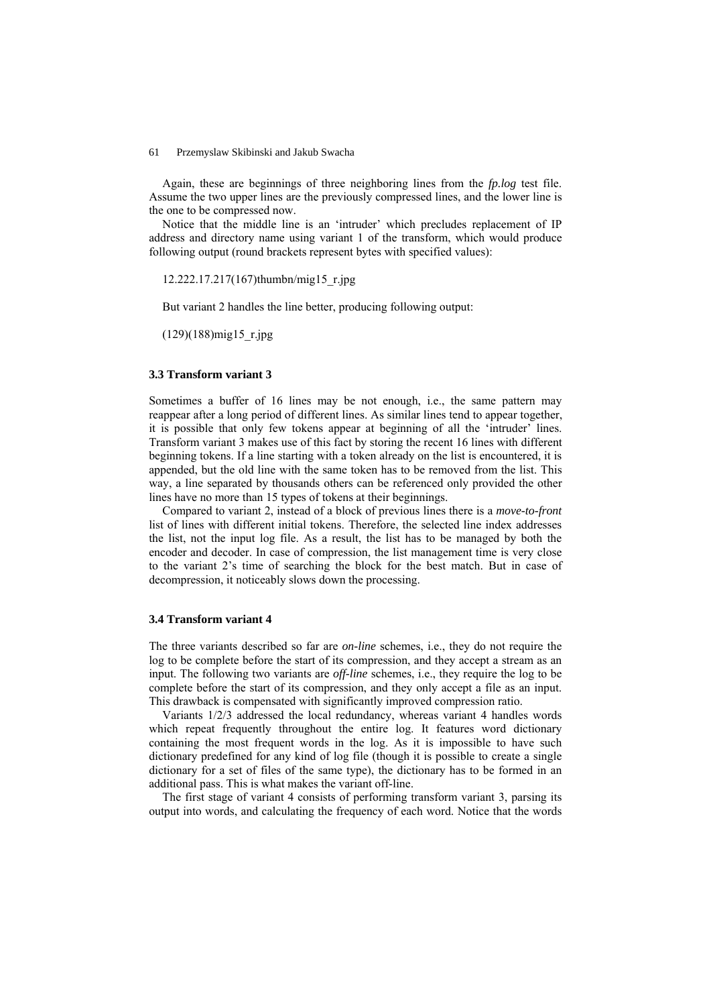Again, these are beginnings of three neighboring lines from the *fp.log* test file. Assume the two upper lines are the previously compressed lines, and the lower line is the one to be compressed now.

Notice that the middle line is an 'intruder' which precludes replacement of IP address and directory name using variant 1 of the transform, which would produce following output (round brackets represent bytes with specified values):

12.222.17.217(167)thumbn/mig15\_r.jpg

But variant 2 handles the line better, producing following output:

 $(129)(188)$ mig15 r.jpg

## **3.3 Transform variant 3**

Sometimes a buffer of 16 lines may be not enough, i.e., the same pattern may reappear after a long period of different lines. As similar lines tend to appear together, it is possible that only few tokens appear at beginning of all the 'intruder' lines. Transform variant 3 makes use of this fact by storing the recent 16 lines with different beginning tokens. If a line starting with a token already on the list is encountered, it is appended, but the old line with the same token has to be removed from the list. This way, a line separated by thousands others can be referenced only provided the other lines have no more than 15 types of tokens at their beginnings.

Compared to variant 2, instead of a block of previous lines there is a *move-to-front* list of lines with different initial tokens. Therefore, the selected line index addresses the list, not the input log file. As a result, the list has to be managed by both the encoder and decoder. In case of compression, the list management time is very close to the variant 2's time of searching the block for the best match. But in case of decompression, it noticeably slows down the processing.

### **3.4 Transform variant 4**

The three variants described so far are *on-line* schemes, i.e., they do not require the log to be complete before the start of its compression, and they accept a stream as an input. The following two variants are *off-line* schemes, i.e., they require the log to be complete before the start of its compression, and they only accept a file as an input. This drawback is compensated with significantly improved compression ratio.

Variants 1/2/3 addressed the local redundancy, whereas variant 4 handles words which repeat frequently throughout the entire log. It features word dictionary containing the most frequent words in the log. As it is impossible to have such dictionary predefined for any kind of log file (though it is possible to create a single dictionary for a set of files of the same type), the dictionary has to be formed in an additional pass. This is what makes the variant off-line.

The first stage of variant 4 consists of performing transform variant 3, parsing its output into words, and calculating the frequency of each word. Notice that the words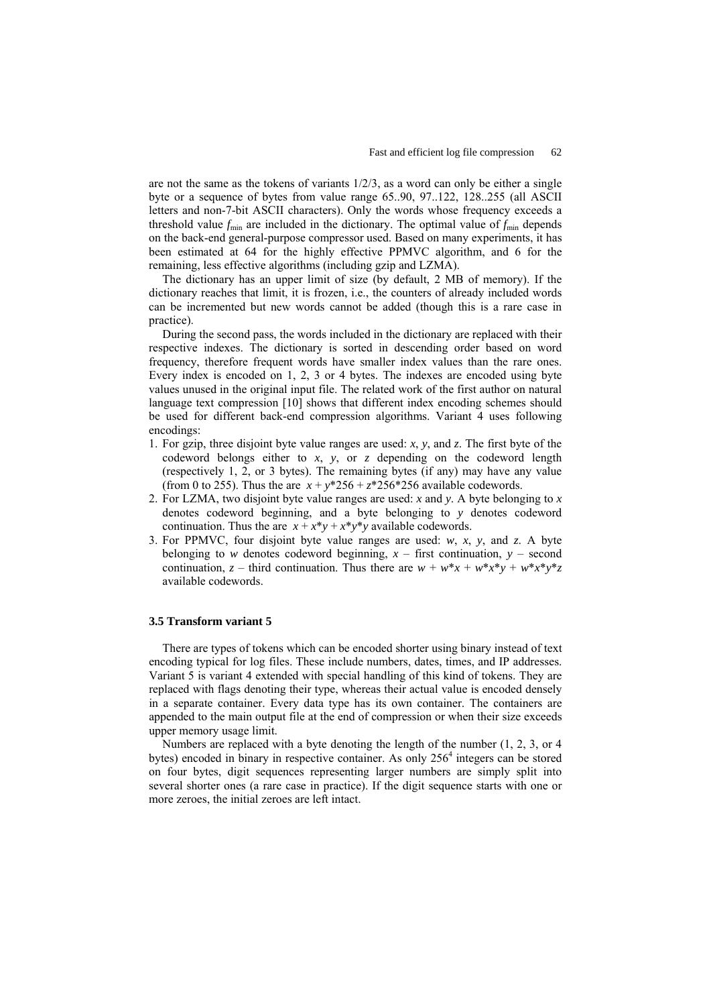are not the same as the tokens of variants 1/2/3, as a word can only be either a single byte or a sequence of bytes from value range 65..90, 97..122, 128..255 (all ASCII letters and non-7-bit ASCII characters). Only the words whose frequency exceeds a threshold value  $f_{\text{min}}$  are included in the dictionary. The optimal value of  $f_{\text{min}}$  depends on the back-end general-purpose compressor used. Based on many experiments, it has been estimated at 64 for the highly effective PPMVC algorithm, and 6 for the remaining, less effective algorithms (including gzip and LZMA).

The dictionary has an upper limit of size (by default, 2 MB of memory). If the dictionary reaches that limit, it is frozen, i.e., the counters of already included words can be incremented but new words cannot be added (though this is a rare case in practice).

During the second pass, the words included in the dictionary are replaced with their respective indexes. The dictionary is sorted in descending order based on word frequency, therefore frequent words have smaller index values than the rare ones. Every index is encoded on 1, 2, 3 or 4 bytes. The indexes are encoded using byte values unused in the original input file. The related work of the first author on natural language text compression [10] shows that different index encoding schemes should be used for different back-end compression algorithms. Variant 4 uses following encodings:

- 1. For gzip, three disjoint byte value ranges are used: *x*, *y*, and *z*. The first byte of the codeword belongs either to *x*, *y*, or *z* depending on the codeword length (respectively 1, 2, or 3 bytes). The remaining bytes (if any) may have any value (from 0 to 255). Thus the are  $x + y^*256 + z^*256^*256$  available codewords.
- 2. For LZMA, two disjoint byte value ranges are used: *x* and *y*. A byte belonging to *x* denotes codeword beginning, and a byte belonging to *y* denotes codeword continuation. Thus the are  $x + x^*y + x^*y^*y$  available codewords.
- 3. For PPMVC, four disjoint byte value ranges are used: *w*, *x*, *y*, and *z*. A byte belonging to *w* denotes codeword beginning,  $x -$  first continuation,  $y -$  second continuation,  $z$  – third continuation. Thus there are  $w + w^*x + w^*x^*y + w^*x^*y^*z$ available codewords.

## **3.5 Transform variant 5**

There are types of tokens which can be encoded shorter using binary instead of text encoding typical for log files. These include numbers, dates, times, and IP addresses. Variant 5 is variant 4 extended with special handling of this kind of tokens. They are replaced with flags denoting their type, whereas their actual value is encoded densely in a separate container. Every data type has its own container. The containers are appended to the main output file at the end of compression or when their size exceeds upper memory usage limit.

Numbers are replaced with a byte denoting the length of the number (1, 2, 3, or 4 bytes) encoded in binary in respective container. As only 256<sup>4</sup> integers can be stored on four bytes, digit sequences representing larger numbers are simply split into several shorter ones (a rare case in practice). If the digit sequence starts with one or more zeroes, the initial zeroes are left intact.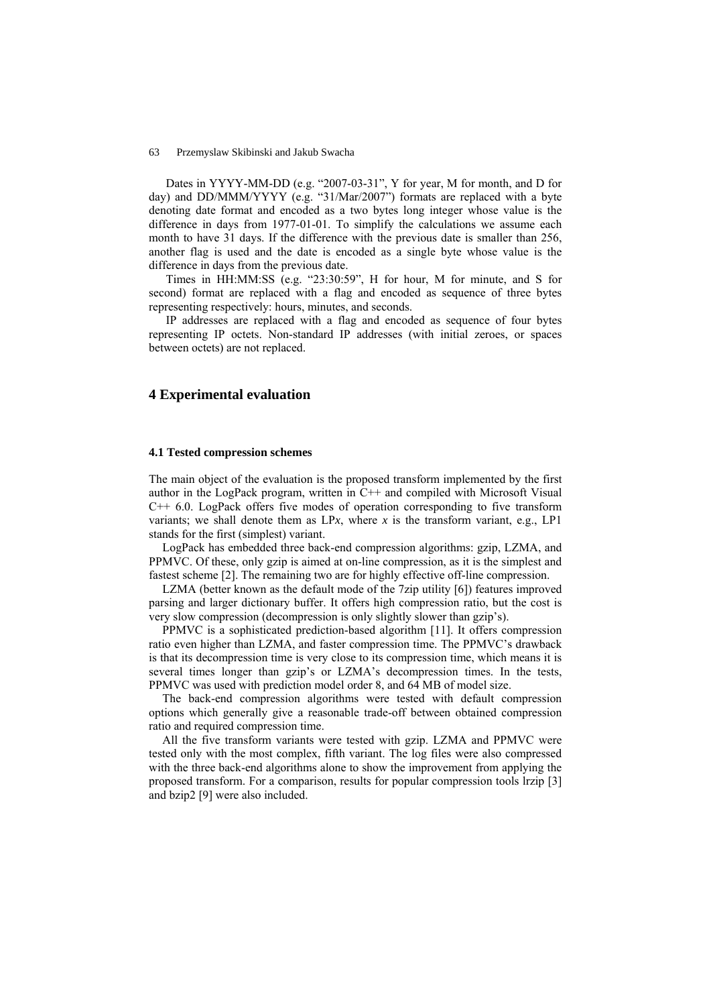Dates in YYYY-MM-DD (e.g. "2007-03-31", Y for year, M for month, and D for day) and DD/MMM/YYYY (e.g. "31/Mar/2007") formats are replaced with a byte denoting date format and encoded as a two bytes long integer whose value is the difference in days from 1977-01-01. To simplify the calculations we assume each month to have 31 days. If the difference with the previous date is smaller than 256, another flag is used and the date is encoded as a single byte whose value is the difference in days from the previous date.

Times in HH:MM:SS (e.g. "23:30:59", H for hour, M for minute, and S for second) format are replaced with a flag and encoded as sequence of three bytes representing respectively: hours, minutes, and seconds.

IP addresses are replaced with a flag and encoded as sequence of four bytes representing IP octets. Non-standard IP addresses (with initial zeroes, or spaces between octets) are not replaced.

# **4 Experimental evaluation**

## **4.1 Tested compression schemes**

The main object of the evaluation is the proposed transform implemented by the first author in the LogPack program, written in C++ and compiled with Microsoft Visual  $C++$  6.0. LogPack offers five modes of operation corresponding to five transform variants; we shall denote them as  $LPx$ , where *x* is the transform variant, e.g.,  $LP1$ stands for the first (simplest) variant.

LogPack has embedded three back-end compression algorithms: gzip, LZMA, and PPMVC. Of these, only gzip is aimed at on-line compression, as it is the simplest and fastest scheme [2]. The remaining two are for highly effective off-line compression.

LZMA (better known as the default mode of the 7zip utility [6]) features improved parsing and larger dictionary buffer. It offers high compression ratio, but the cost is very slow compression (decompression is only slightly slower than gzip's).

PPMVC is a sophisticated prediction-based algorithm [11]. It offers compression ratio even higher than LZMA, and faster compression time. The PPMVC's drawback is that its decompression time is very close to its compression time, which means it is several times longer than gzip's or LZMA's decompression times. In the tests, PPMVC was used with prediction model order 8, and 64 MB of model size.

The back-end compression algorithms were tested with default compression options which generally give a reasonable trade-off between obtained compression ratio and required compression time.

All the five transform variants were tested with gzip. LZMA and PPMVC were tested only with the most complex, fifth variant. The log files were also compressed with the three back-end algorithms alone to show the improvement from applying the proposed transform. For a comparison, results for popular compression tools lrzip [3] and bzip2 [9] were also included.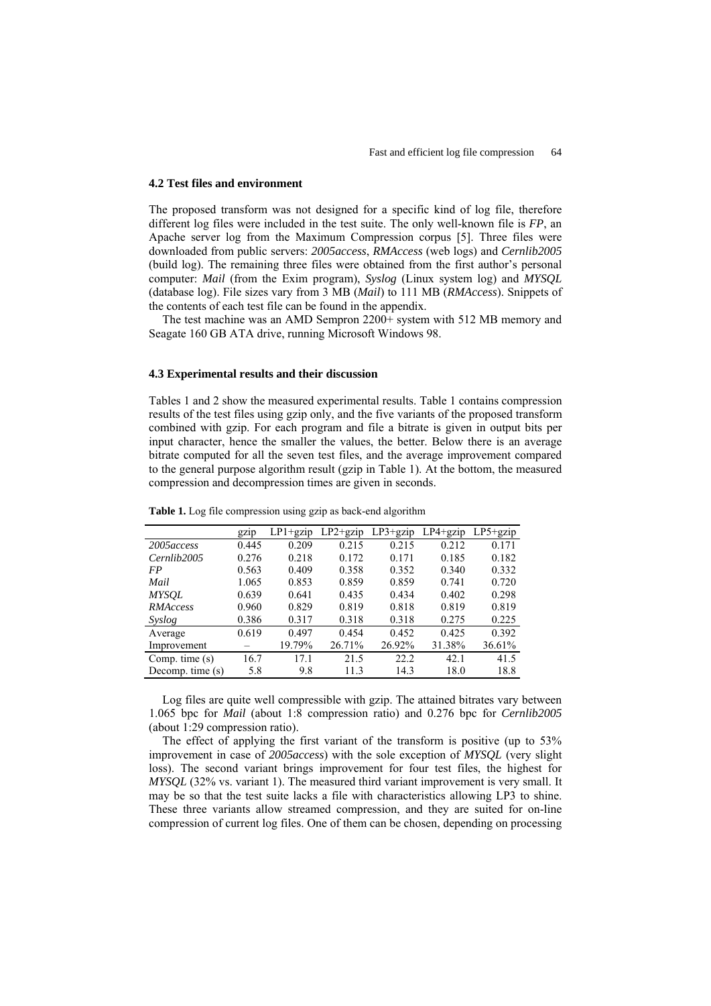#### **4.2 Test files and environment**

The proposed transform was not designed for a specific kind of log file, therefore different log files were included in the test suite. The only well-known file is *FP*, an Apache server log from the Maximum Compression corpus [5]. Three files were downloaded from public servers: *2005access*, *RMAccess* (web logs) and *Cernlib2005* (build log). The remaining three files were obtained from the first author's personal computer: *Mail* (from the Exim program), *Syslog* (Linux system log) and *MYSQL* (database log). File sizes vary from 3 MB (*Mail*) to 111 MB (*RMAccess*). Snippets of the contents of each test file can be found in the appendix.

The test machine was an AMD Sempron 2200+ system with 512 MB memory and Seagate 160 GB ATA drive, running Microsoft Windows 98.

#### **4.3 Experimental results and their discussion**

Tables 1 and 2 show the measured experimental results. Table 1 contains compression results of the test files using gzip only, and the five variants of the proposed transform combined with gzip. For each program and file a bitrate is given in output bits per input character, hence the smaller the values, the better. Below there is an average bitrate computed for all the seven test files, and the average improvement compared to the general purpose algorithm result (gzip in Table 1). At the bottom, the measured compression and decompression times are given in seconds.

|                  | gzip  | $LP1+gzip$ | $LP2+gzip$ | $LP3+gzip$ | $LP4+$ gzip | LP5+gzip |
|------------------|-------|------------|------------|------------|-------------|----------|
| 2005 access      | 0.445 | 0.209      | 0.215      | 0.215      | 0.212       | 0.171    |
| Cernlib2005      | 0.276 | 0.218      | 0.172      | 0.171      | 0.185       | 0.182    |
| FP               | 0.563 | 0.409      | 0.358      | 0.352      | 0.340       | 0.332    |
| Mail             | 1.065 | 0.853      | 0.859      | 0.859      | 0.741       | 0.720    |
| <b>MYSOL</b>     | 0.639 | 0.641      | 0.435      | 0.434      | 0.402       | 0.298    |
| RMAccess         | 0.960 | 0.829      | 0.819      | 0.818      | 0.819       | 0.819    |
| Syslog           | 0.386 | 0.317      | 0.318      | 0.318      | 0.275       | 0.225    |
| Average          | 0.619 | 0.497      | 0.454      | 0.452      | 0.425       | 0.392    |
| Improvement      |       | 19.79%     | 26.71%     | 26.92%     | 31.38%      | 36.61%   |
| Comp. time $(s)$ | 16.7  | 17.1       | 21.5       | 22.2       | 42.1        | 41.5     |
| Decomp. time (s) | 5.8   | 9.8        | 11.3       | 14.3       | 18.0        | 18.8     |

**Table 1.** Log file compression using gzip as back-end algorithm

Log files are quite well compressible with gzip. The attained bitrates vary between 1.065 bpc for *Mail* (about 1:8 compression ratio) and 0.276 bpc for *Cernlib2005* (about 1:29 compression ratio).

The effect of applying the first variant of the transform is positive (up to 53%) improvement in case of *2005access*) with the sole exception of *MYSQL* (very slight loss). The second variant brings improvement for four test files, the highest for *MYSQL* (32% vs. variant 1). The measured third variant improvement is very small. It may be so that the test suite lacks a file with characteristics allowing LP3 to shine. These three variants allow streamed compression, and they are suited for on-line compression of current log files. One of them can be chosen, depending on processing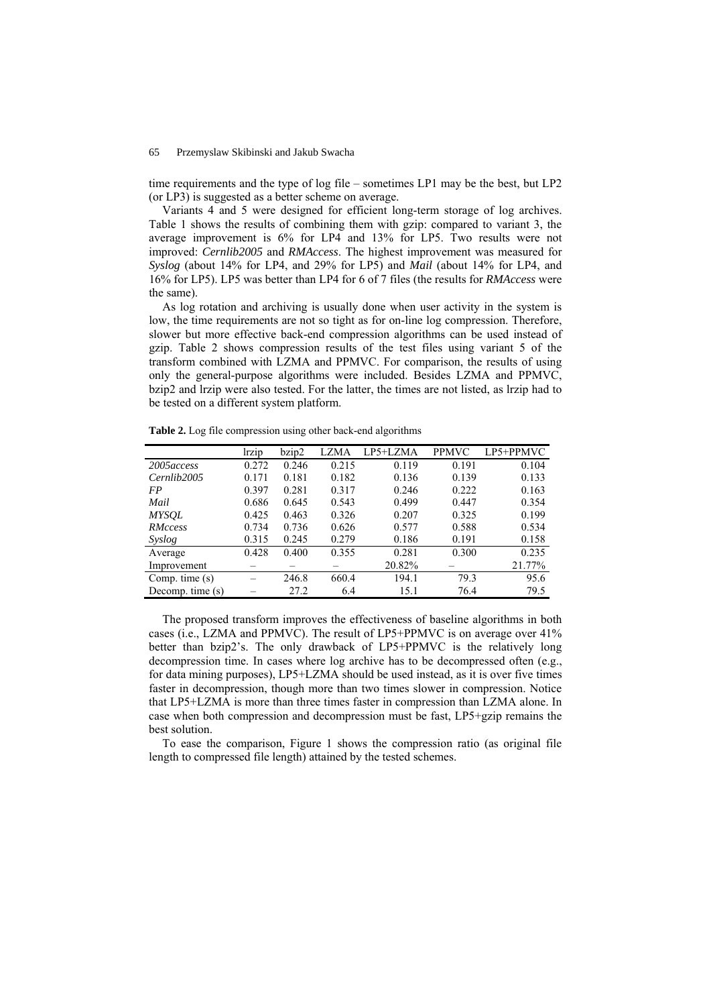time requirements and the type of log file – sometimes LP1 may be the best, but LP2 (or LP3) is suggested as a better scheme on average.

Variants 4 and 5 were designed for efficient long-term storage of log archives. Table 1 shows the results of combining them with gzip: compared to variant 3, the average improvement is 6% for LP4 and 13% for LP5. Two results were not improved: *Cernlib2005* and *RMAccess*. The highest improvement was measured for *Syslog* (about 14% for LP4, and 29% for LP5) and *Mail* (about 14% for LP4, and 16% for LP5). LP5 was better than LP4 for 6 of 7 files (the results for *RMAccess* were the same).

As log rotation and archiving is usually done when user activity in the system is low, the time requirements are not so tight as for on-line log compression. Therefore, slower but more effective back-end compression algorithms can be used instead of gzip. Table 2 shows compression results of the test files using variant 5 of the transform combined with LZMA and PPMVC. For comparison, the results of using only the general-purpose algorithms were included. Besides LZMA and PPMVC, bzip2 and lrzip were also tested. For the latter, the times are not listed, as lrzip had to be tested on a different system platform.

| Table 2. Log file compression using other back-end algorithms |  |  |  |
|---------------------------------------------------------------|--|--|--|

|                    | lrzip | bzip2 | LZMA  | LP5+LZMA | <b>PPMVC</b> | LP5+PPMVC |
|--------------------|-------|-------|-------|----------|--------------|-----------|
| 2005 access        | 0.272 | 0.246 | 0.215 | 0.119    | 0.191        | 0.104     |
| Cernlib2005        | 0.171 | 0.181 | 0.182 | 0.136    | 0.139        | 0.133     |
| FP                 | 0.397 | 0.281 | 0.317 | 0.246    | 0.222        | 0.163     |
| Mail               | 0.686 | 0.645 | 0.543 | 0.499    | 0.447        | 0.354     |
| <b>MYSOL</b>       | 0.425 | 0.463 | 0.326 | 0.207    | 0.325        | 0.199     |
| RMccess            | 0.734 | 0.736 | 0.626 | 0.577    | 0.588        | 0.534     |
| Syslog             | 0.315 | 0.245 | 0.279 | 0.186    | 0.191        | 0.158     |
| Average            | 0.428 | 0.400 | 0.355 | 0.281    | 0.300        | 0.235     |
| Improvement        |       |       |       | 20.82%   |              | 21.77%    |
| Comp. time (s)     |       | 246.8 | 660.4 | 194.1    | 79.3         | 95.6      |
| Decomp. time $(s)$ |       | 27.2  | 6.4   | 15.1     | 76.4         | 79.5      |

The proposed transform improves the effectiveness of baseline algorithms in both cases (i.e., LZMA and PPMVC). The result of LP5+PPMVC is on average over 41% better than bzip2's. The only drawback of LP5+PPMVC is the relatively long decompression time. In cases where log archive has to be decompressed often (e.g., for data mining purposes), LP5+LZMA should be used instead, as it is over five times faster in decompression, though more than two times slower in compression. Notice that LP5+LZMA is more than three times faster in compression than LZMA alone. In case when both compression and decompression must be fast, LP5+gzip remains the best solution.

To ease the comparison, Figure 1 shows the compression ratio (as original file length to compressed file length) attained by the tested schemes.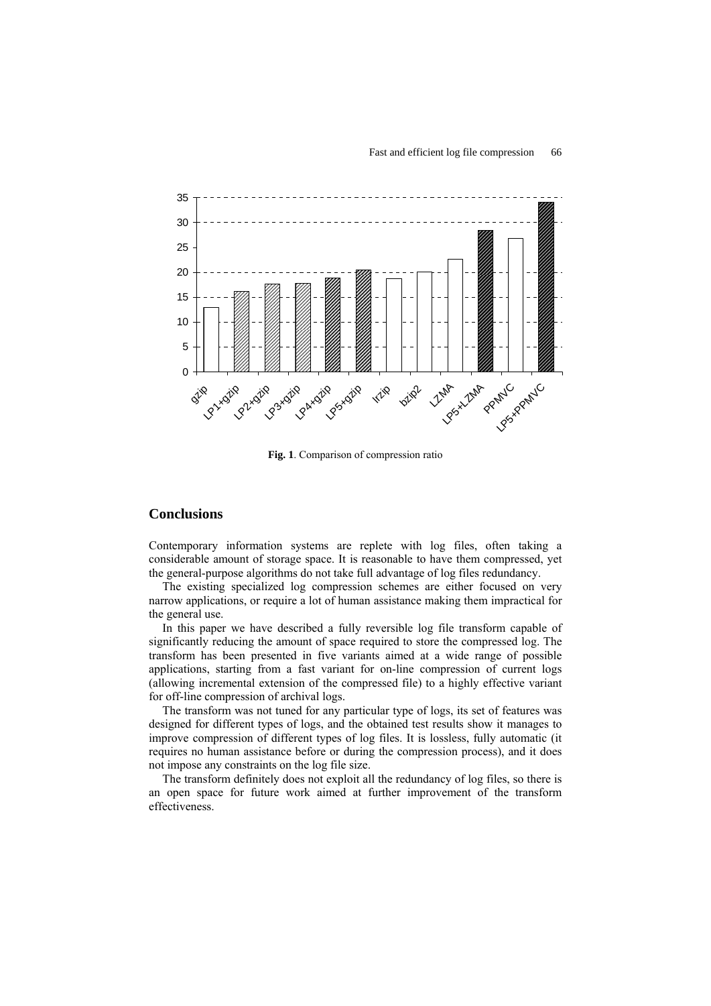

**Fig. 1**. Comparison of compression ratio

# **Conclusions**

Contemporary information systems are replete with log files, often taking a considerable amount of storage space. It is reasonable to have them compressed, yet the general-purpose algorithms do not take full advantage of log files redundancy.

The existing specialized log compression schemes are either focused on very narrow applications, or require a lot of human assistance making them impractical for the general use.

In this paper we have described a fully reversible log file transform capable of significantly reducing the amount of space required to store the compressed log. The transform has been presented in five variants aimed at a wide range of possible applications, starting from a fast variant for on-line compression of current logs (allowing incremental extension of the compressed file) to a highly effective variant for off-line compression of archival logs.

The transform was not tuned for any particular type of logs, its set of features was designed for different types of logs, and the obtained test results show it manages to improve compression of different types of log files. It is lossless, fully automatic (it requires no human assistance before or during the compression process), and it does not impose any constraints on the log file size.

The transform definitely does not exploit all the redundancy of log files, so there is an open space for future work aimed at further improvement of the transform effectiveness.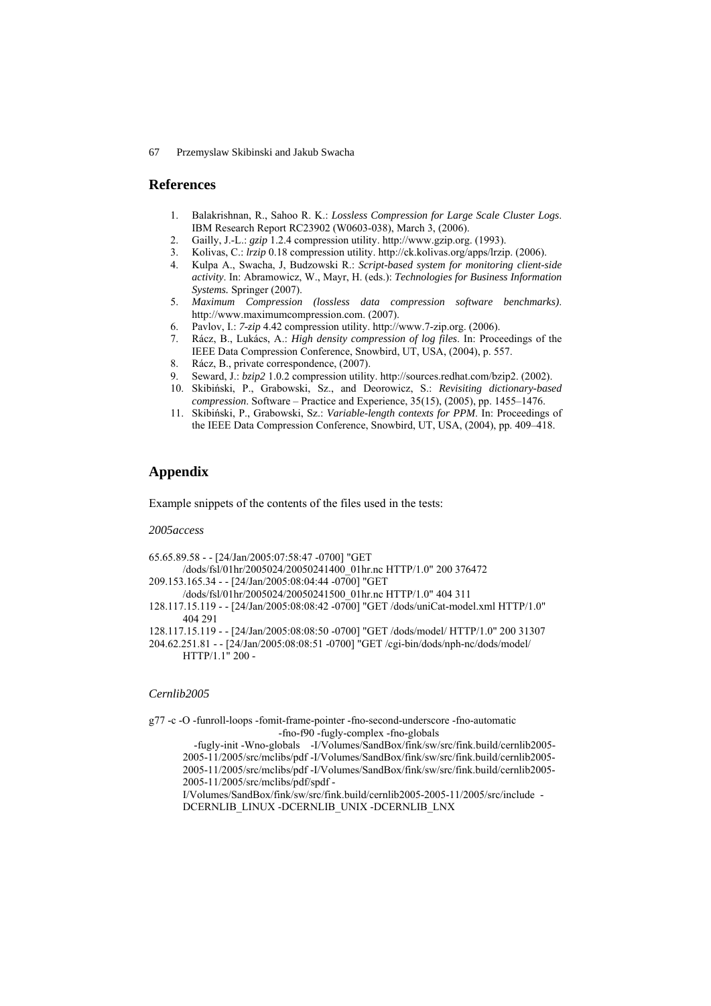## **References**

- 1. Balakrishnan, R., Sahoo R. K.: *Lossless Compression for Large Scale Cluster Logs*. IBM Research Report RC23902 (W0603-038), March 3, (2006).
- 2. Gailly, J.-L.: *gzip* 1.2.4 compression utility. http://www.gzip.org. (1993).
- 3. Kolivas, C.: *lrzip* 0.18 compression utility. http://ck.kolivas.org/apps/lrzip. (2006).
- 4. Kulpa A., Swacha, J, Budzowski R.: *Script-based system for monitoring client-side activity*. In: Abramowicz, W., Mayr, H. (eds.): *Technologies for Business Information Systems.* Springer (2007).
- 5. *Maximum Compression (lossless data compression software benchmarks)*. http://www.maximumcompression.com. (2007).
- 6. Pavlov, I.: *7-zip* 4.42 compression utility. http://www.7-zip.org. (2006).
- 7. Rácz, B., Lukács, A.: *High density compression of log files*. In: Proceedings of the IEEE Data Compression Conference, Snowbird, UT, USA, (2004), p. 557.
- 8. Rácz, B., private correspondence, (2007).
- 9. Seward, J.: *bzip2* 1.0.2 compression utility. http://sources.redhat.com/bzip2. (2002).
- 10. Skibiński, P., Grabowski, Sz., and Deorowicz, S.: *Revisiting dictionary-based compression*. Software – Practice and Experience, 35(15), (2005), pp. 1455–1476.
- 11. Skibiński, P., Grabowski, Sz.: *Variable-length contexts for PPM*. In: Proceedings of the IEEE Data Compression Conference, Snowbird, UT, USA, (2004), pp. 409–418.

# **Appendix**

Example snippets of the contents of the files used in the tests:

#### *2005access*

- 65.65.89.58 - [24/Jan/2005:07:58:47 -0700] "GET
- /dods/fsl/01hr/2005024/20050241400\_01hr.nc HTTP/1.0" 200 376472
- 209.153.165.34 - [24/Jan/2005:08:04:44 -0700] "GET
- /dods/fsl/01hr/2005024/20050241500\_01hr.nc HTTP/1.0" 404 311
- 128.117.15.119 - [24/Jan/2005:08:08:42 -0700] "GET /dods/uniCat-model.xml HTTP/1.0" 404 291
- 128.117.15.119 - [24/Jan/2005:08:08:50 -0700] "GET /dods/model/ HTTP/1.0" 200 31307
- 204.62.251.81 - [24/Jan/2005:08:08:51 -0700] "GET /cgi-bin/dods/nph-nc/dods/model/ HTTP/1.1" 200 -

#### *Cernlib2005*

g77 -c -O -funroll-loops -fomit-frame-pointer -fno-second-underscore -fno-automatic -fno-f90 -fugly-complex -fno-globals

 -fugly-init -Wno-globals -I/Volumes/SandBox/fink/sw/src/fink.build/cernlib2005- 2005-11/2005/src/mclibs/pdf -I/Volumes/SandBox/fink/sw/src/fink.build/cernlib2005- 2005-11/2005/src/mclibs/pdf -I/Volumes/SandBox/fink/sw/src/fink.build/cernlib2005- 2005-11/2005/src/mclibs/pdf/spdf -

I/Volumes/SandBox/fink/sw/src/fink.build/cernlib2005-2005-11/2005/src/include - DCERNLIB\_LINUX -DCERNLIB\_UNIX -DCERNLIB\_LNX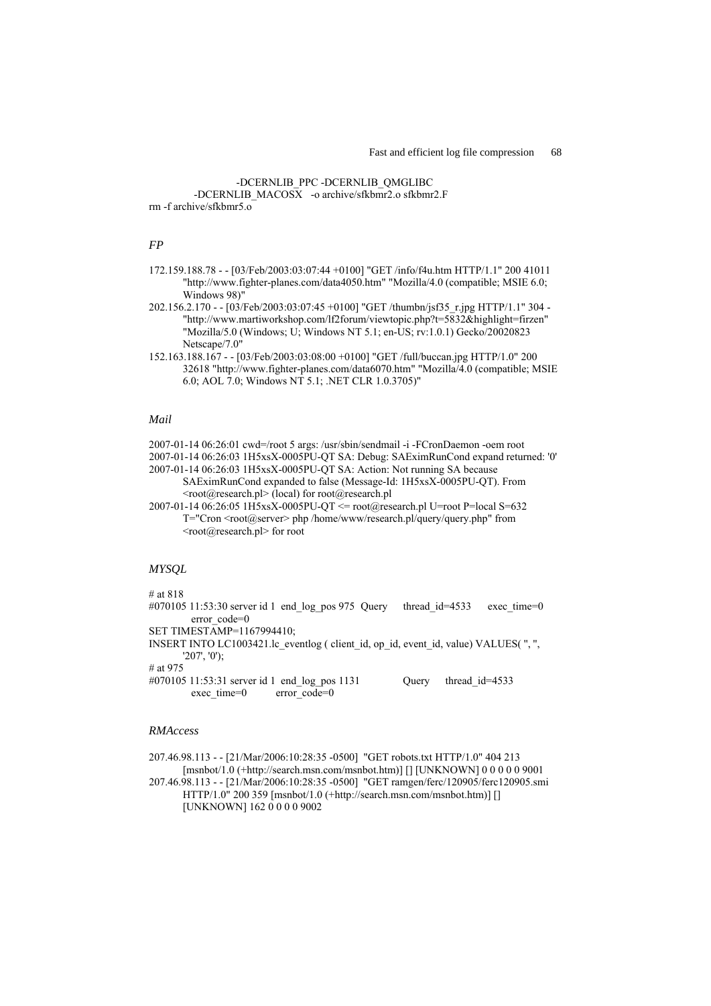# -DCERNLIB\_PPC -DCERNLIB\_QMGLIBC -DCERNLIB\_MACOSX -o archive/sfkbmr2.o sfkbmr2.F

rm -f archive/sfkbmr5.o

## *FP*

- 172.159.188.78 - [03/Feb/2003:03:07:44 +0100] "GET /info/f4u.htm HTTP/1.1" 200 41011 "http://www.fighter-planes.com/data4050.htm" "Mozilla/4.0 (compatible; MSIE 6.0; Windows 98)"
- 202.156.2.170 - [03/Feb/2003:03:07:45 +0100] "GET /thumbn/jsf35\_r.jpg HTTP/1.1" 304 "http://www.martiworkshop.com/lf2forum/viewtopic.php?t=5832&highlight=firzen" "Mozilla/5.0 (Windows; U; Windows NT 5.1; en-US; rv:1.0.1) Gecko/20020823 Netscape/7.0"
- 152.163.188.167 - [03/Feb/2003:03:08:00 +0100] "GET /full/buccan.jpg HTTP/1.0" 200 32618 "http://www.fighter-planes.com/data6070.htm" "Mozilla/4.0 (compatible; MSIE 6.0; AOL 7.0; Windows NT 5.1; .NET CLR 1.0.3705)"

#### *Mail*

2007-01-14 06:26:01 cwd=/root 5 args: /usr/sbin/sendmail -i -FCronDaemon -oem root

2007-01-14 06:26:03 1H5xsX-0005PU-QT SA: Debug: SAEximRunCond expand returned: '0' 2007-01-14 06:26:03 1H5xsX-0005PU-QT SA: Action: Not running SA because

SAEximRunCond expanded to false (Message-Id: 1H5xsX-0005PU-QT). From  $\leq$ root@research.pl $>$ (local) for root@research.pl

2007-01-14  $0\overline{6}$ :26:05 1H5xsX-0005PU-QT  $\le$  root@research.pl U=root P=local S=632 T="Cron <root@server> php /home/www/research.pl/query/query.php" from  $\leq$ root $\omega$ research.pl> for root

## *MYSQL*

# at 818

- #070105 11:53:30 server id 1 end  $log$  pos 975 Query thread id=4533 exec time=0 error\_code=0
- SET TIMESTAMP=1167994410;
- INSERT INTO LC1003421.lc eventlog ( client id, op id, event id, value) VALUES( $''$ ,  $''$ , '207', '0');

# at 975

#070105 11:53:31 server id 1 end log pos 1131 Query thread id=4533 exec\_time=0 error\_code=0

## *RMAccess*

207.46.98.113 - - [21/Mar/2006:10:28:35 -0500] "GET robots.txt HTTP/1.0" 404 213 [msnbot/1.0 (+http://search.msn.com/msnbot.htm)] [] [UNKNOWN] 0 0 0 0 0 9001 207.46.98.113 - - [21/Mar/2006:10:28:35 -0500] "GET ramgen/ferc/120905/ferc120905.smi HTTP/1.0" 200 359 [msnbot/1.0 (+http://search.msn.com/msnbot.htm)] [] [UNKNOWN] 162 0 0 0 0 9002